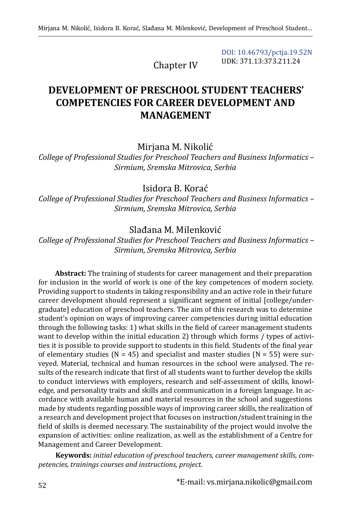Chapter IV

[DOI: 10.46793/pctja.19.52N](https://doi.org/10.46793/pctja.19.52N) UDK: 371.13:373.211.24

# **DEVELOPMENT OF PRESCHOOL STUDENT TEACHERS' COMPETENCIES FOR CAREER DEVELOPMENT AND MANAGEMENT**

#### Mirjana M. Nikolić

*College of Professional Studies for Preschool Teachers and Business Informatics – Sirmium, Sremska Mitrovica, Serbia*

Isidora B. Korać

*College of Professional Studies for Preschool Teachers and Business Informatics – Sirmium, Sremska Mitrovica, Serbia*

#### Slađana M. Milenković

*College of Professional Studies for Preschool Teachers and Business Informatics – Sirmium, Sremska Mitrovica, Serbia*

**Abstract:** The training of students for career management and their preparation for inclusion in the world of work is one of the key competences of modern society. Providing support to students in taking responsibility and an active role in their future career development should represent a significant segment of initial [college/undergraduate] education of preschool teachers. The aim of this research was to determine student's opinion on ways of improving career competencies during initial education through the following tasks: 1) what skills in the field of career management students want to develop within the initial education 2) through which forms / types of activities it is possible to provide support to students in this field. Students of the final year of elementary studies ( $N = 45$ ) and specialist and master studies ( $N = 55$ ) were surveyed. Material, technical and human resources in the school were analysed. The results of the research indicate that first of all students want to further develop the skills to conduct interviews with employers, research and self-assessment of skills, knowledge, and personality traits and skills and communication in a foreign language. In accordance with available human and material resources in the school and suggestions made by students regarding possible ways of improving career skills, the realization of a research and development project that focuses on instruction/student training in the field of skills is deemed necessary. The sustainability of the project would involve the expansion of activities: online realization, as well as the establishment of a Centre for Management and Career Development.

**Keywords:** *initial education of preschool teachers, career management skills, competencies, trainings courses and instructions, project.*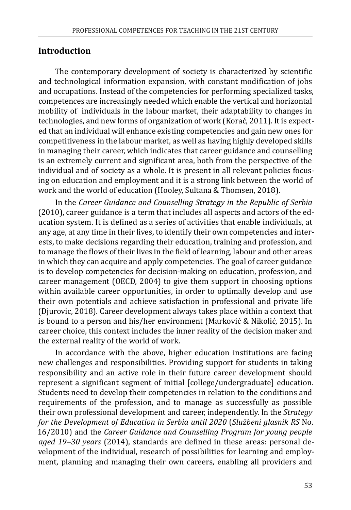## **Introduction**

The contemporary development of society is characterized by scientific and technological information expansion, with constant modification of jobs and occupations. Instead of the competencies for performing specialized tasks, competences are increasingly needed which enable the vertical and horizontal mobility of individuals in the labour market, their adaptability to changes in technologies, and new forms of organization of work (Korać, 2011). It is expected that an individual will enhance existing competencies and gain new ones for competitiveness in the labour market, as well as having highly developed skills in managing their career, which indicates that career guidance and counselling is an extremely current and significant area, both from the perspective of the individual and of society as a whole. It is present in all relevant policies focusing on education and employment and it is a strong link between the world of work and the world of education (Hooley, Sultana & Thomsen, 2018).

In the *Career Guidance and Counselling Strategy in the Republic of Serbia* (2010), career guidance is a term that includes all aspects and actors of the education system. It is defined as a series of activities that enable individuals, at any age, at any time in their lives, to identify their own competencies and interests, to make decisions regarding their education, training and profession, and to manage the flows of their lives in the field of learning, labour and other areas in which they can acquire and apply competencies. The goal of career guidance is to develop competencies for decision-making on education, profession, and career management (OECD, 2004) to give them support in choosing options within available career opportunities, in order to optimally develop and use their own potentials and achieve satisfaction in professional and private life (Djurovic, 2018). Career development always takes place within a context that is bound to a person and his/her environment (Marković & Nikolić, 2015). In career choice, this context includes the inner reality of the decision maker and the external reality of the world of work.

In accordance with the above, higher education institutions are facing new challenges and responsibilities. Providing support for students in taking responsibility and an active role in their future career development should represent a significant segment of initial [college/undergraduate] education. Students need to develop their competencies in relation to the conditions and requirements of the profession, and to manage as successfully as possible their own professional development and career, independently. In the *Strategy for the Development of Education in Serbia until 2020* (*Službeni glasnik RS* No. 16/2010) and the *Career Guidance and Counselling Program for young people aged 19‒30 years* (2014), standards are defined in these areas: personal development of the individual, research of possibilities for learning and employment, planning and managing their own careers, enabling all providers and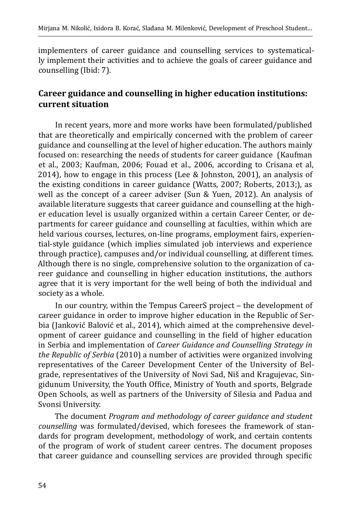implementers of career guidance and counselling services to systematically implement their activities and to achieve the goals of career guidance and counselling (Ibid: 7).

## **Career guidance and counselling in higher education institutions: current situation**

In recent years, more and more works have been formulated/published that are theoretically and empirically concerned with the problem of career guidance and counselling at the level of higher education. The authors mainly focused on: researching the needs of students for career guidance (Kaufman et al., 2003; Kaufman, 2006; Fouad et al., 2006, according to Crisana et al, 2014), how to engage in this process (Lee & Johnston, 2001), an analysis of the existing conditions in career guidance (Watts, 2007; Roberts, 2013;), as well as the concept of a career adviser (Sun & Yuen, 2012). An analysis of available literature suggests that career guidance and counselling at the higher education level is usually organized within a certain Career Center, or departments for career guidance and counselling at faculties, within which are held various courses, lectures, on-line programs, employment fairs, experiential-style guidance (which implies simulated job interviews and experience through practice), campuses and/or individual counselling, at different times. Although there is no single, comprehensive solution to the organization of career guidance and counselling in higher education institutions, the authors agree that it is very important for the well being of both the individual and society as a whole.

In our country, within the Tempus CareerS project – the development of career guidance in order to improve higher education in the Republic of Serbia (Janković Balović et al., 2014), which aimed at the comprehensive development of career guidance and counselling in the field of higher education in Serbia and implementation of *Career Guidance and Counselling Strategy in the Republic of Serbia* (2010) a number of activities were organized involving representatives of the Career Development Center of the University of Belgrade, representatives of the University of Novi Sad, Niš and Kragujevac, Singidunum University, the Youth Office, Ministry of Youth and sports, Belgrade Open Schools, as well as partners of the University of Silesia and Padua and Svonsi University.

The document *Program and methodology of career guidance and student counselling* was formulated/devised, which foresees the framework of standards for program development, methodology of work, and certain contents of the program of work of student career centres. The document proposes that career guidance and counselling services are provided through specific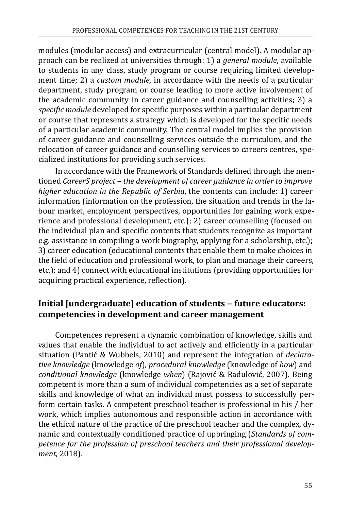modules (modular access) and extracurricular (central model). A modular approach can be realized at universities through: 1) a *general module*, available to students in any class, study program or course requiring limited development time; 2) a *custom module*, in accordance with the needs of a particular department, study program or course leading to more active involvement of the academic community in career guidance and counselling activities; 3) a *specific module* developed for specific purposes within a particular department or course that represents a strategy which is developed for the specific needs of a particular academic community. The central model implies the provision of career guidance and counselling services outside the curriculum, and the relocation of career guidance and counselling services to careers centres, specialized institutions for providing such services.

In accordance with the Framework of Standards defined through the mentioned *CareerS project ‒ the development of career guidance in order to improve higher education in the Republic of Serbia*, the contents can include: 1) career information (information on the profession, the situation and trends in the labour market, employment perspectives, opportunities for gaining work experience and professional development, etc.); 2) career counselling (focused on the individual plan and specific contents that students recognize as important e.g. assistance in compiling a work biography, applying for a scholarship, etc.); 3) career education (educational contents that enable them to make choices in the field of education and professional work, to plan and manage their careers, etc.); and 4) connect with educational institutions (providing opportunities for acquiring practical experience, reflection).

## **Initial [undergraduate] education of students ‒ future educators: competencies in development and career management**

Competences represent a dynamic combination of knowledge, skills and values that enable the individual to act actively and efficiently in a particular situation (Pantić & Wubbels, 2010) and represent the integration of *declarative knowledge* (knowledge *of*), *procedural knowledge* (knowledge of *how*) and *conditional knowledge* (knowledge *when*) (Rajović & Radulović, 2007). Being competent is more than a sum of individual competencies as a set of separate skills and knowledge of what an individual must possess to successfully perform certain tasks. A competent preschool teacher is professional in his / her work, which implies autonomous and responsible action in accordance with the ethical nature of the practice of the preschool teacher and the complex, dynamic and contextually conditioned practice of upbringing (*Standards of competence for the profession of preschool teachers and their professional development*, 2018).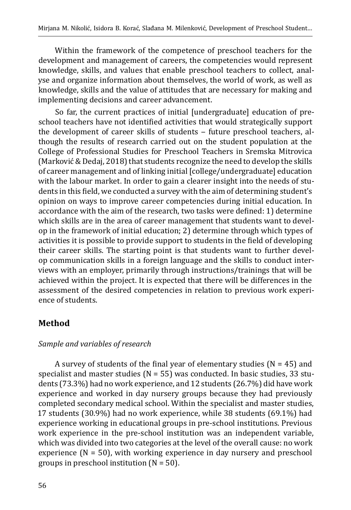Within the framework of the competence of preschool teachers for the development and management of careers, the competencies would represent knowledge, skills, and values that enable preschool teachers to collect, analyse and organize information about themselves, the world of work, as well as knowledge, skills and the value of attitudes that are necessary for making and implementing decisions and career advancement.

So far, the current practices of initial [undergraduate] education of preschool teachers have not identified activities that would strategically support the development of career skills of students - future preschool teachers, although the results of research carried out on the student population at the College of Professional Studies for Preschool Teachers in Sremska Mitrovica (Marković & Dedaj, 2018) that students recognize the need to develop the skills of career management and of linking initial [college/undergraduate] education with the labour market. In order to gain a clearer insight into the needs of students in this field, we conducted a survey with the aim of determining student's opinion on ways to improve career competencies during initial education. In accordance with the aim of the research, two tasks were defined: 1) determine which skills are in the area of career management that students want to develop in the framework of initial education; 2) determine through which types of activities it is possible to provide support to students in the field of developing their career skills. The starting point is that students want to further develop communication skills in a foreign language and the skills to conduct interviews with an employer, primarily through instructions/trainings that will be achieved within the project. It is expected that there will be differences in the assessment of the desired competencies in relation to previous work experience of students.

## **Method**

### *Sample and variables of research*

A survey of students of the final year of elementary studies ( $N = 45$ ) and specialist and master studies ( $N = 55$ ) was conducted. In basic studies, 33 students (73.3%) had no work experience, and 12 students (26.7%) did have work experience and worked in day nursery groups because they had previously completed secondary medical school. Within the specialist and master studies, 17 students (30.9%) had no work experience, while 38 students (69.1%) had experience working in educational groups in pre-school institutions. Previous work experience in the pre-school institution was an independent variable, which was divided into two categories at the level of the overall cause: no work experience  $(N = 50)$ , with working experience in day nursery and preschool groups in preschool institution  $(N = 50)$ .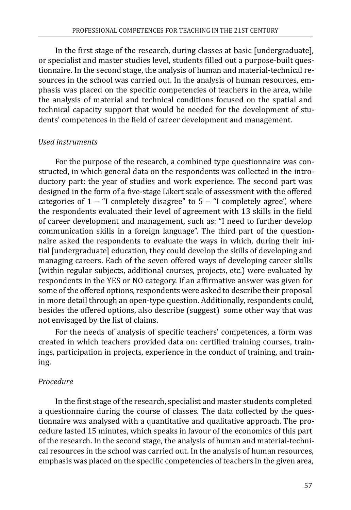In the first stage of the research, during classes at basic [undergraduate], or specialist and master studies level, students filled out a purpose-built questionnaire. In the second stage, the analysis of human and material-technical resources in the school was carried out. In the analysis of human resources, emphasis was placed on the specific competencies of teachers in the area, while the analysis of material and technical conditions focused on the spatial and technical capacity support that would be needed for the development of students' competences in the field of career development and management.

#### *Used instruments*

For the purpose of the research, a combined type questionnaire was constructed, in which general data on the respondents was collected in the introductory part: the year of studies and work experience. The second part was designed in the form of a five-stage Likert scale of assessment with the offered categories of  $1 -$  "I completely disagree" to  $5 -$  "I completely agree", where the respondents evaluated their level of agreement with 13 skills in the field of career development and management, such as: "I need to further develop communication skills in a foreign language". The third part of the questionnaire asked the respondents to evaluate the ways in which, during their initial [undergraduate] education, they could develop the skills of developing and managing careers. Each of the seven offered ways of developing career skills (within regular subjects, additional courses, projects, etc.) were evaluated by respondents in the YES or NO category. If an affirmative answer was given for some of the offered options, respondents were asked to describe their proposal in more detail through an open-type question. Additionally, respondents could, besides the offered options, also describe (suggest) some other way that was not envisaged by the list of claims.

For the needs of analysis of specific teachers' competences, a form was created in which teachers provided data on: certified training courses, trainings, participation in projects, experience in the conduct of training, and training.

### *Procedure*

In the first stage of the research, specialist and master students completed a questionnaire during the course of classes. The data collected by the questionnaire was analysed with a quantitative and qualitative approach. The procedure lasted 15 minutes, which speaks in favour of the economics of this part of the research. In the second stage, the analysis of human and material-technical resources in the school was carried out. In the analysis of human resources, emphasis was placed on the specific competencies of teachers in the given area,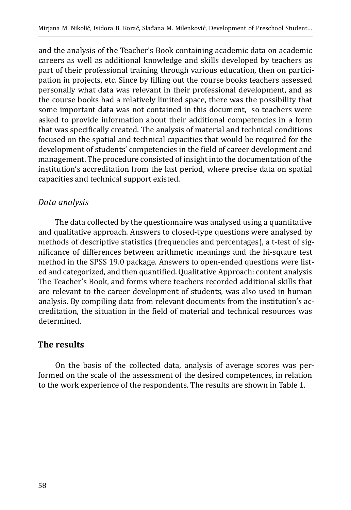and the analysis of the Teacher's Book containing academic data on academic careers as well as additional knowledge and skills developed by teachers as part of their professional training through various education, then on participation in projects, etc. Since by filling out the course books teachers assessed personally what data was relevant in their professional development, and as the course books had a relatively limited space, there was the possibility that some important data was not contained in this document, so teachers were asked to provide information about their additional competencies in a form that was specifically created. The analysis of material and technical conditions focused on the spatial and technical capacities that would be required for the development of students' competencies in the field of career development and management. The procedure consisted of insight into the documentation of the institution's accreditation from the last period, where precise data on spatial capacities and technical support existed.

## *Data analysis*

The data collected by the questionnaire was analysed using a quantitative and qualitative approach. Answers to closed-type questions were analysed by methods of descriptive statistics (frequencies and percentages), a t-test of significance of differences between arithmetic meanings and the hi-square test method in the SPSS 19.0 package. Answers to open-ended questions were listed and categorized, and then quantified. Qualitative Approach: content analysis The Teacher's Book, and forms where teachers recorded additional skills that are relevant to the career development of students, was also used in human analysis. By compiling data from relevant documents from the institution's accreditation, the situation in the field of material and technical resources was determined.

## **The results**

On the basis of the collected data, analysis of average scores was performed on the scale of the assessment of the desired competences, in relation to the work experience of the respondents. The results are shown in Table 1.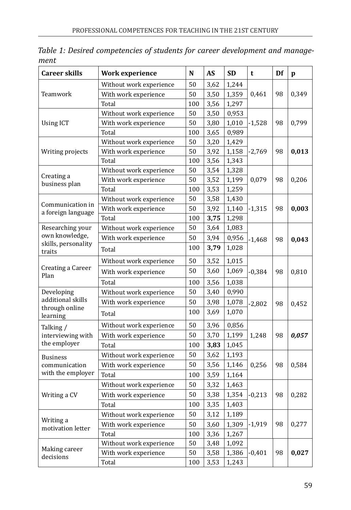| <b>Career skills</b>                   | Work experience         | N   | <b>AS</b> | <b>SD</b> | t        | Df | p     |
|----------------------------------------|-------------------------|-----|-----------|-----------|----------|----|-------|
|                                        | Without work experience | 50  | 3,62      | 1,244     |          |    |       |
| Teamwork                               | With work experience    | 50  | 3,50      | 1,359     | 0,461    | 98 | 0,349 |
|                                        | Total                   | 100 | 3,56      | 1,297     |          |    |       |
|                                        | Without work experience | 50  | 3,50      | 0,953     |          |    |       |
| <b>Using ICT</b>                       | With work experience    | 50  | 3,80      | 1,010     | $-1,528$ | 98 | 0,799 |
|                                        | Total                   | 100 | 3,65      | 0,989     |          |    |       |
|                                        | Without work experience | 50  | 3,20      | 1,429     |          |    |       |
| Writing projects                       | With work experience    | 50  | 3,92      | 1,158     | $-2,769$ | 98 | 0,013 |
|                                        | Total                   | 100 | 3,56      | 1,343     |          |    |       |
|                                        | Without work experience | 50  | 3,54      | 1,328     |          |    |       |
| Creating a<br>business plan            | With work experience    | 50  | 3,52      | 1,199     | 0,079    | 98 | 0,206 |
|                                        | Total                   | 100 | 3,53      | 1,259     |          |    |       |
|                                        | Without work experience | 50  | 3,58      | 1,430     |          |    |       |
| Communication in<br>a foreign language | With work experience    | 50  | 3,92      | 1,140     | $-1,315$ | 98 | 0,003 |
|                                        | Total                   | 100 | 3,75      | 1,298     |          |    |       |
| Researching your                       | Without work experience | 50  | 3,64      | 1,083     |          |    |       |
| own knowledge,                         | With work experience    | 50  | 3,94      | 0,956     | $-1,468$ | 98 | 0,043 |
| skills, personality<br>traits          | Total                   | 100 | 3,79      | 1,028     |          |    |       |
|                                        | Without work experience | 50  | 3,52      | 1,015     |          |    |       |
| Creating a Career<br>Plan              | With work experience    | 50  | 3,60      | 1,069     | $-0,384$ | 98 | 0,810 |
|                                        | Total                   | 100 | 3,56      | 1,038     |          |    |       |
| Developing                             | Without work experience | 50  | 3,40      | 0,990     |          |    |       |
| additional skills                      | With work experience    | 50  | 3,98      | 1,078     | $-2,802$ | 98 | 0,452 |
| through online<br>learning             | Total                   | 100 | 3,69      | 1,070     |          |    |       |
| Talking /                              | Without work experience | 50  | 3,96      | 0,856     |          |    |       |
| interviewing with                      | With work experience    | 50  | 3,70      | 1,199     | 1,248    | 98 | 0,057 |
| the employer                           | Total                   | 100 | 3,83      | 1,045     |          |    |       |
| <b>Business</b>                        | Without work experience | 50  | 3,62      | 1,193     |          |    |       |
| communication                          | With work experience    | 50  | 3,56      | 1,146     | 0,256    | 98 | 0,584 |
| with the employer                      | Total                   | 100 | 3,59      | 1,164     |          |    |       |
|                                        | Without work experience | 50  | 3,32      | 1,463     |          |    |       |
| Writing a CV                           | With work experience    | 50  | 3,38      | 1,354     | $-0,213$ | 98 | 0,282 |
|                                        | Total                   | 100 | 3,35      | 1,403     |          |    |       |
|                                        | Without work experience | 50  | 3,12      | 1,189     |          |    |       |
| Writing a                              | With work experience    | 50  | 3,60      | 1,309     | $-1,919$ | 98 | 0,277 |
| motivation letter                      | Total                   | 100 | 3,36      | 1,267     |          |    |       |
|                                        | Without work experience | 50  | 3,48      | 1,092     |          |    |       |
| Making career                          | With work experience    | 50  | 3,58      | 1,386     | $-0,401$ | 98 | 0,027 |
| decisions                              | Total                   | 100 | 3,53      | 1,243     |          |    |       |

*Table 1: Desired competencies of students for career development and management*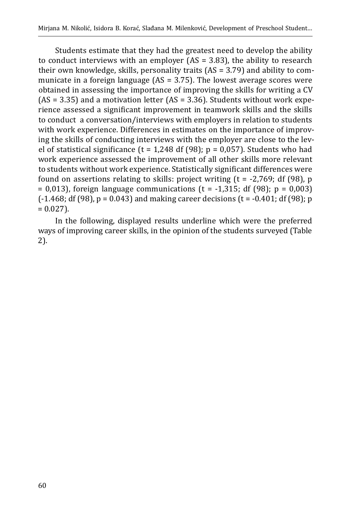Students estimate that they had the greatest need to develop the ability to conduct interviews with an employer (AS = 3.83), the ability to research their own knowledge, skills, personality traits (AS = 3.79) and ability to communicate in a foreign language  $(AS = 3.75)$ . The lowest average scores were obtained in assessing the importance of improving the skills for writing a CV  $(AS = 3.35)$  and a motivation letter  $(AS = 3.36)$ . Students without work experience assessed a significant improvement in teamwork skills and the skills to conduct a conversation/interviews with employers in relation to students with work experience. Differences in estimates on the importance of improving the skills of conducting interviews with the employer are close to the level of statistical significance (t = 1,248 df (98);  $p = 0.057$ ). Students who had work experience assessed the improvement of all other skills more relevant to students without work experience. Statistically significant differences were found on assertions relating to skills: project writing  $(t = -2,769; df (98), p$  $= 0.013$ , foreign language communications (t = -1,315; df (98); p = 0,003)  $(-1.468; df (98), p = 0.043)$  and making career decisions  $(t = -0.401; df (98); p$  $= 0.027$ ).

In the following, displayed results underline which were the preferred ways of improving career skills, in the opinion of the students surveyed (Table 2).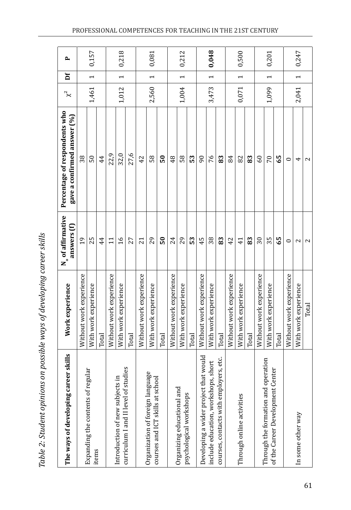| $\therefore$ 2: Student opinions on possible ways of developing career sking<br>ני<br>1 |
|-----------------------------------------------------------------------------------------|
| ו הואה!                                                                                 |
|                                                                                         |
| i<br>I                                                                                  |

| er skills<br>The ways of developing care                                        | Work experience         | N <sub>o</sub> of affirmative<br>answers (f) | Percentage of respondents who<br>gave a confirmed answer (%) | $x^2$ | ă                        | $\mathbf{r}$ |
|---------------------------------------------------------------------------------|-------------------------|----------------------------------------------|--------------------------------------------------------------|-------|--------------------------|--------------|
|                                                                                 | Without work experience | $\frac{9}{2}$                                | 38                                                           |       |                          |              |
| Expanding the contents of regular<br>items                                      | With work experience    | 25                                           | $50\,$                                                       | 1,461 | $\overline{\phantom{0}}$ | 0,157        |
|                                                                                 | Total                   | 44                                           | 44                                                           |       |                          |              |
|                                                                                 | Without work experience | $\Xi$                                        | 22,9                                                         |       |                          |              |
| curriculum I and II level of studies<br>$\Xi$<br>Introduction of new subjects i | With work experience    | $\frac{9}{1}$                                | 32,0                                                         | 1,012 | $\overline{\phantom{0}}$ | 0,218        |
|                                                                                 | Total                   | 27                                           | 27,6                                                         |       |                          |              |
|                                                                                 | Without work experience | 21                                           | 42                                                           |       |                          |              |
| Courses and ICT skills at school<br>Organization of foreign langua              | With work experience    | 29                                           | 58                                                           | 2,560 | $\overline{\phantom{0}}$ | 0,081        |
|                                                                                 | Total                   | $\overline{50}$                              | 50                                                           |       |                          |              |
|                                                                                 | Without work experience | 24                                           | 48                                                           |       |                          |              |
| Organizing educational and                                                      | With work experience    | 29                                           | 58                                                           | 1,004 | $\overline{ }$           | 0,212        |
| psychological workshops                                                         | Total                   | 53                                           | S                                                            |       |                          |              |
| Developing a wider project that would                                           | Without work experience | 45                                           | 90                                                           |       |                          |              |
| include education, workshops, short                                             | With work experience    | 38                                           | 76                                                           | 3,473 | $\overline{ }$           | 0,048        |
| courses, contacts with employers, etc.                                          | Total                   | 83                                           | 83                                                           |       |                          |              |
|                                                                                 | Without work experience | 42                                           | 84                                                           |       |                          |              |
| Through online activities                                                       | With work experience    | $\overline{41}$                              | 82                                                           | 0,071 | $\overline{\phantom{0}}$ | 0,500        |
|                                                                                 | Total                   | 83                                           | 83                                                           |       |                          |              |
|                                                                                 | Without work experience | $\overline{\mathrm{30}}$                     | $^{60}$                                                      |       |                          |              |
| Through the formation and operation<br>of the Career Development Center         | With work experience    | 35                                           | 70                                                           | 1,099 | $\overline{\phantom{0}}$ | 0,201        |
|                                                                                 | Total                   | 65                                           | 65                                                           |       |                          |              |
|                                                                                 | Without work experience | 0                                            | 0                                                            |       |                          |              |
| In some other way                                                               | With work experience    | 2                                            | 4                                                            | 2,041 | $\overline{ }$           | 0,247        |
|                                                                                 | Total                   | 2                                            | $\mathbf{c}$                                                 |       |                          |              |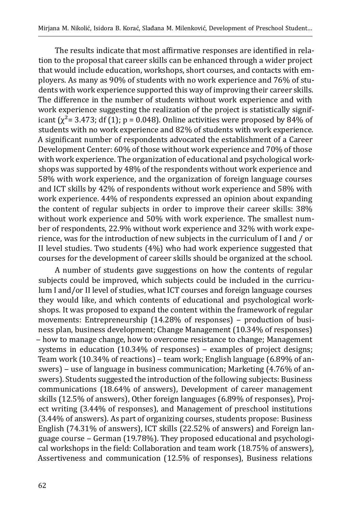The results indicate that most affirmative responses are identified in relation to the proposal that career skills can be enhanced through a wider project that would include education, workshops, short courses, and contacts with employers. As many as 90% of students with no work experience and 76% of students with work experience supported this way of improving their career skills. The difference in the number of students without work experience and with work experience suggesting the realization of the project is statistically significant ( $\chi^2$ = 3.473; df (1); p = 0.048). Online activities were proposed by 84% of students with no work experience and 82% of students with work experience. A significant number of respondents advocated the establishment of a Career Development Center: 60% of those without work experience and 70% of those with work experience. The organization of educational and psychological workshops was supported by 48% of the respondents without work experience and 58% with work experience, and the organization of foreign language courses and ICT skills by 42% of respondents without work experience and 58% with work experience. 44% of respondents expressed an opinion about expanding the content of regular subjects in order to improve their career skills: 38% without work experience and 50% with work experience. The smallest number of respondents, 22.9% without work experience and 32% with work experience, was for the introduction of new subjects in the curriculum of I and / or II level studies. Two students (4%) who had work experience suggested that courses for the development of career skills should be organized at the school.

A number of students gave suggestions on how the contents of regular subjects could be improved, which subjects could be included in the curriculum I and/or II level of studies, what ICT courses and foreign language courses they would like, and which contents of educational and psychological workshops. It was proposed to expand the content within the framework of regular movements: Entrepreneurship (14.28% of responses) – production of business plan, business development; Change Management (10.34% of responses) ‒ how to manage change, how to overcome resistance to change; Management systems in education (10.34% of responses) - examples of project designs; Team work (10.34% of reactions) - team work; English language (6.89% of answers) – use of language in business communication; Marketing (4.76% of answers). Students suggested the introduction of the following subjects: Business communications (18.64% of answers), Development of career management skills (12.5% of answers), Other foreign languages (6.89% of responses), Project writing (3.44% of responses), and Management of preschool institutions (3.44% of answers). As part of organizing courses, students propose: Business English (74.31% of answers), ICT skills (22.52% of answers) and Foreign language course - German (19.78%). They proposed educational and psychological workshops in the field: Collaboration and team work (18.75% of answers), Assertiveness and communication (12.5% of responses), Business relations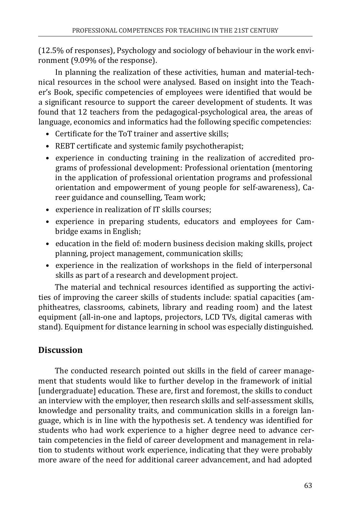(12.5% of responses), Psychology and sociology of behaviour in the work environment (9.09% of the response).

In planning the realization of these activities, human and material-technical resources in the school were analysed. Based on insight into the Teacher's Book, specific competencies of employees were identified that would be a significant resource to support the career development of students. It was found that 12 teachers from the pedagogical-psychological area, the areas of language, economics and informatics had the following specific competencies:

- Certificate for the ToT trainer and assertive skills;
- REBT certificate and systemic family psychotherapist;
- experience in conducting training in the realization of accredited programs of professional development: Professional orientation (mentoring in the application of professional orientation programs and professional orientation and empowerment of young people for self-awareness), Career guidance and counselling, Team work;
- experience in realization of IT skills courses;
- experience in preparing students, educators and employees for Cambridge exams in English;
- education in the field of: modern business decision making skills, project planning, project management, communication skills;
- experience in the realization of workshops in the field of interpersonal skills as part of a research and development project.

The material and technical resources identified as supporting the activities of improving the career skills of students include: spatial capacities (amphitheatres, classrooms, cabinets, library and reading room) and the latest equipment (all-in-one and laptops, projectors, LCD TVs, digital cameras with stand). Equipment for distance learning in school was especially distinguished.

## **Discussion**

The conducted research pointed out skills in the field of career management that students would like to further develop in the framework of initial [undergraduate] education. These are, first and foremost, the skills to conduct an interview with the employer, then research skills and self-assessment skills, knowledge and personality traits, and communication skills in a foreign language, which is in line with the hypothesis set. A tendency was identified for students who had work experience to a higher degree need to advance certain competencies in the field of career development and management in relation to students without work experience, indicating that they were probably more aware of the need for additional career advancement, and had adopted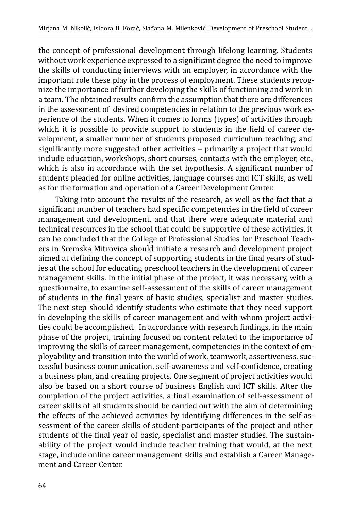the concept of professional development through lifelong learning. Students without work experience expressed to a significant degree the need to improve the skills of conducting interviews with an employer, in accordance with the important role these play in the process of employment. These students recognize the importance of further developing the skills of functioning and work in a team. The obtained results confirm the assumption that there are differences in the assessment of desired competencies in relation to the previous work experience of the students. When it comes to forms (types) of activities through which it is possible to provide support to students in the field of career development, a smaller number of students proposed curriculum teaching, and significantly more suggested other activities - primarily a project that would include education, workshops, short courses, contacts with the employer, etc., which is also in accordance with the set hypothesis. A significant number of students pleaded for online activities, language courses and ICT skills, as well as for the formation and operation of a Career Development Center.

Taking into account the results of the research, as well as the fact that a significant number of teachers had specific competencies in the field of career management and development, and that there were adequate material and technical resources in the school that could be supportive of these activities, it can be concluded that the College of Professional Studies for Preschool Teachers in Sremska Mitrovica should initiate a research and development project aimed at defining the concept of supporting students in the final years of studies at the school for educating preschool teachers in the development of career management skills. In the initial phase of the project, it was necessary, with a questionnaire, to examine self-assessment of the skills of career management of students in the final years of basic studies, specialist and master studies. The next step should identify students who estimate that they need support in developing the skills of career management and with whom project activities could be accomplished. In accordance with research findings, in the main phase of the project, training focused on content related to the importance of improving the skills of career management, competencies in the context of employability and transition into the world of work, teamwork, assertiveness, successful business communication, self-awareness and self-confidence, creating a business plan, and creating projects. One segment of project activities would also be based on a short course of business English and ICT skills. After the completion of the project activities, a final examination of self-assessment of career skills of all students should be carried out with the aim of determining the effects of the achieved activities by identifying differences in the self-assessment of the career skills of student-participants of the project and other students of the final year of basic, specialist and master studies. The sustainability of the project would include teacher training that would, at the next stage, include online career management skills and establish a Career Management and Career Center.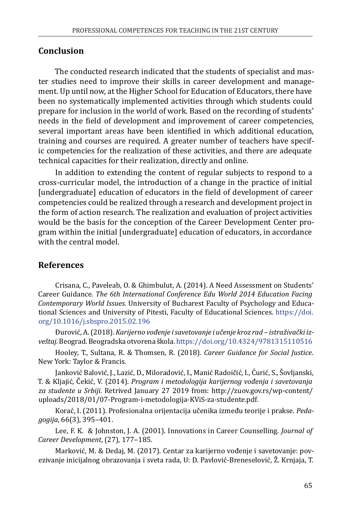## **Conclusion**

The conducted research indicated that the students of specialist and master studies need to improve their skills in career development and management. Up until now, at the Higher School for Education of Educators, there have been no systematically implemented activities through which students could prepare for inclusion in the world of work. Based on the recording of students' needs in the field of development and improvement of career competencies, several important areas have been identified in which additional education, training and courses are required. A greater number of teachers have specific competencies for the realization of these activities, and there are adequate technical capacities for their realization, directly and online.

In addition to extending the content of regular subjects to respond to a cross-curricular model, the introduction of a change in the practice of initial [undergraduate] education of educators in the field of development of career competencies could be realized through a research and development project in the form of action research. The realization and evaluation of project activities would be the basis for the conception of the Career Development Center program within the initial [undergraduate] education of educators, in accordance with the central model.

## **References**

Crisana, C., Paveleab, O. & Ghimbulut, A. (2014). A Need Assessment on Students' Career Guidance. *The 6th International Conference Edu World 2014 Education Facing Contemporary World Issues*. University of Bucharest Faculty of Psychology and Educational Sciences and University of Pitesti, Faculty of Educational Sciences. [https://doi.](https://doi.org/10.1016/j.sbspro.2015.02.196) [org/10.1016/j.sbspro.2015.02.196](https://doi.org/10.1016/j.sbspro.2015.02.196)

Đurović, A. (2018). *Karijerno vođenje i savetovanje i učenje kroz rad – istraživački izveštaj.* Beograd. Beogradska otvorena škola.<https://doi.org/10.4324/9781315110516>

Hooley, T., Sultana, R. & Thomsen, R. (2018). *Career Guidance for Social Justice*. New York: Taylor & Francis.

Janković Balović, J., Lazić, D., Miloradović, I., Manić Radoičić, I., Ćurić, S., Šovljanski, T. & Kljajić, Čekić, V. (2014). *Program i metodologija karijernog vođenja i savetovanja za studente u Srbiji.* Retrived January 27 2019 from: [http://zuov.gov.rs/wp-content/](http://zuov.gov.rs/wp-content/uploads/2018/01/07-Program-i-metodologija-KViS-za-studente.pdf) [uploads/2018/01/07-Program-i-metodologija-KViS-za-studente.pdf](http://zuov.gov.rs/wp-content/uploads/2018/01/07-Program-i-metodologija-KViS-za-studente.pdf).

Korać, I. (2011). Profesionalna orijentacija učenika između teorije i prakse. *Pedagogija*, 66(3), 395‒401.

Lee, F. K. & Johnston, J. A. (2001). Innovations in Career Counselling. *Journal of Career Development,* (27), 177-185.

Marković, M. & Dedaj, M. (2017). Centar za karijerno vođenje i savetovanje: povezivanje inicijalnog obrazovanja i sveta rada, U: D. Pavlović-Breneselović, Ž. Krnjaja, T.